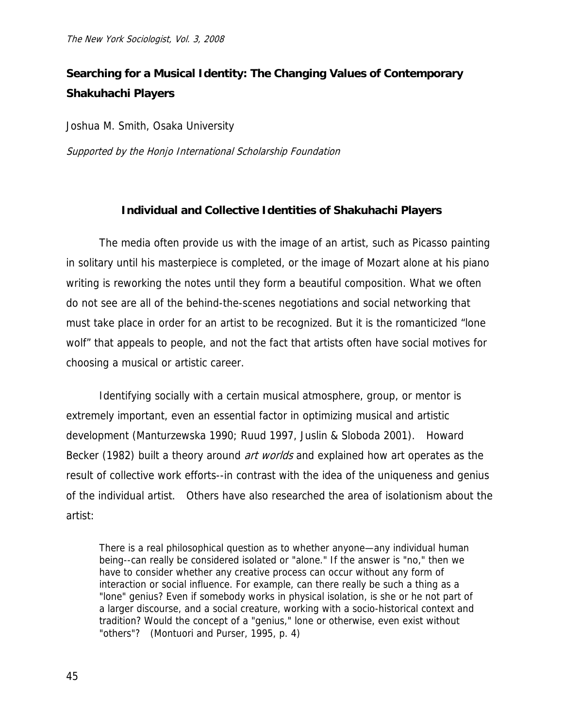# **Searching for a Musical Identity: The Changing Values of Contemporary Shakuhachi Players**

Joshua M. Smith, Osaka University

Supported by the Honjo International Scholarship Foundation

# **Individual and Collective Identities of Shakuhachi Players**

The media often provide us with the image of an artist, such as Picasso painting in solitary until his masterpiece is completed, or the image of Mozart alone at his piano writing is reworking the notes until they form a beautiful composition. What we often do not see are all of the behind-the-scenes negotiations and social networking that must take place in order for an artist to be recognized. But it is the romanticized "lone wolf" that appeals to people, and not the fact that artists often have social motives for choosing a musical or artistic career.

Identifying socially with a certain musical atmosphere, group, or mentor is extremely important, even an essential factor in optimizing musical and artistic development (Manturzewska 1990; Ruud 1997, Juslin & Sloboda 2001). Howard Becker (1982) built a theory around *art worlds* and explained how art operates as the result of collective work efforts--in contrast with the idea of the uniqueness and genius of the individual artist. Others have also researched the area of isolationism about the artist:

There is a real philosophical question as to whether anyone—any individual human being--can really be considered isolated or "alone." If the answer is "no," then we have to consider whether any creative process can occur without any form of interaction or social influence. For example, can there really be such a thing as a "lone" genius? Even if somebody works in physical isolation, is she or he not part of a larger discourse, and a social creature, working with a socio-historical context and tradition? Would the concept of a "genius," lone or otherwise, even exist without "others"? (Montuori and Purser, 1995, p. 4)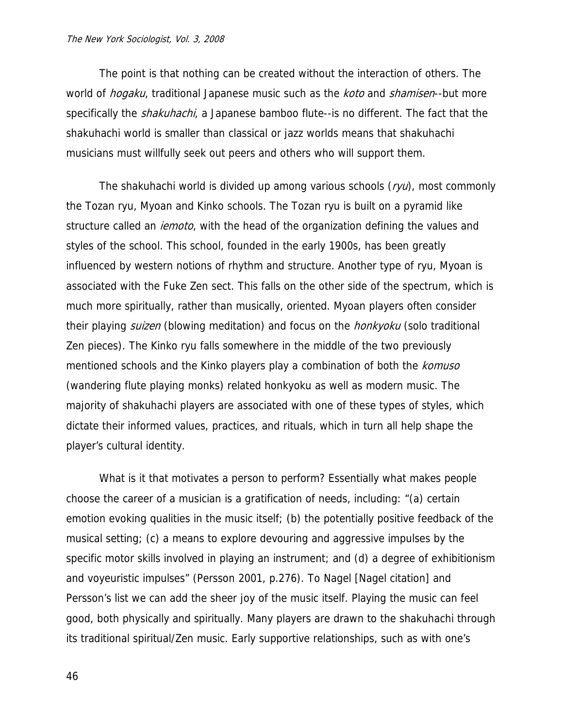The point is that nothing can be created without the interaction of others. The world of *hogaku*, traditional Japanese music such as the *koto* and *shamisen*--but more specifically the *shakuhachi*, a Japanese bamboo flute--is no different. The fact that the shakuhachi world is smaller than classical or jazz worlds means that shakuhachi musicians must willfully seek out peers and others who will support them.

The shakuhachi world is divided up among various schools  $(ryu)$ , most commonly the Tozan ryu, Myoan and Kinko schools. The Tozan ryu is built on a pyramid like structure called an *iemoto*, with the head of the organization defining the values and styles of the school. This school, founded in the early 1900s, has been greatly influenced by western notions of rhythm and structure. Another type of ryu, Myoan is associated with the Fuke Zen sect. This falls on the other side of the spectrum, which is much more spiritually, rather than musically, oriented. Myoan players often consider their playing *suizen* (blowing meditation) and focus on the *honkyoku* (solo traditional Zen pieces). The Kinko ryu falls somewhere in the middle of the two previously mentioned schools and the Kinko players play a combination of both the *komuso* (wandering flute playing monks) related honkyoku as well as modern music. The majority of shakuhachi players are associated with one of these types of styles, which dictate their informed values, practices, and rituals, which in turn all help shape the player's cultural identity.

What is it that motivates a person to perform? Essentially what makes people choose the career of a musician is a gratification of needs, including: "(a) certain emotion evoking qualities in the music itself; (b) the potentially positive feedback of the musical setting; (c) a means to explore devouring and aggressive impulses by the specific motor skills involved in playing an instrument; and (d) a degree of exhibitionism and voyeuristic impulses" (Persson 2001, p.276). To Nagel [Nagel citation] and Persson's list we can add the sheer joy of the music itself. Playing the music can feel good, both physically and spiritually. Many players are drawn to the shakuhachi through its traditional spiritual/Zen music. Early supportive relationships, such as with one's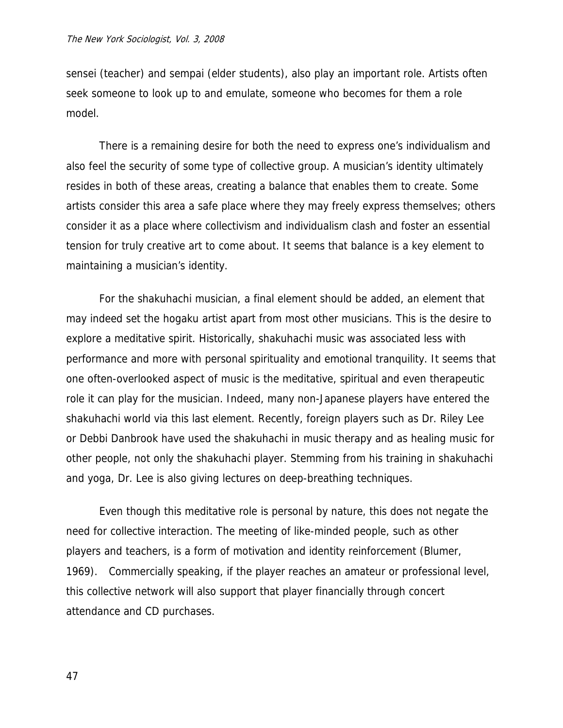sensei (teacher) and sempai (elder students), also play an important role. Artists often seek someone to look up to and emulate, someone who becomes for them a role model.

There is a remaining desire for both the need to express one's individualism and also feel the security of some type of collective group. A musician's identity ultimately resides in both of these areas, creating a balance that enables them to create. Some artists consider this area a safe place where they may freely express themselves; others consider it as a place where collectivism and individualism clash and foster an essential tension for truly creative art to come about. It seems that balance is a key element to maintaining a musician's identity.

For the shakuhachi musician, a final element should be added, an element that may indeed set the hogaku artist apart from most other musicians. This is the desire to explore a meditative spirit. Historically, shakuhachi music was associated less with performance and more with personal spirituality and emotional tranquility. It seems that one often-overlooked aspect of music is the meditative, spiritual and even therapeutic role it can play for the musician. Indeed, many non-Japanese players have entered the shakuhachi world via this last element. Recently, foreign players such as Dr. Riley Lee or Debbi Danbrook have used the shakuhachi in music therapy and as healing music for other people, not only the shakuhachi player. Stemming from his training in shakuhachi and yoga, Dr. Lee is also giving lectures on deep-breathing techniques.

Even though this meditative role is personal by nature, this does not negate the need for collective interaction. The meeting of like-minded people, such as other players and teachers, is a form of motivation and identity reinforcement (Blumer, 1969). Commercially speaking, if the player reaches an amateur or professional level, this collective network will also support that player financially through concert attendance and CD purchases.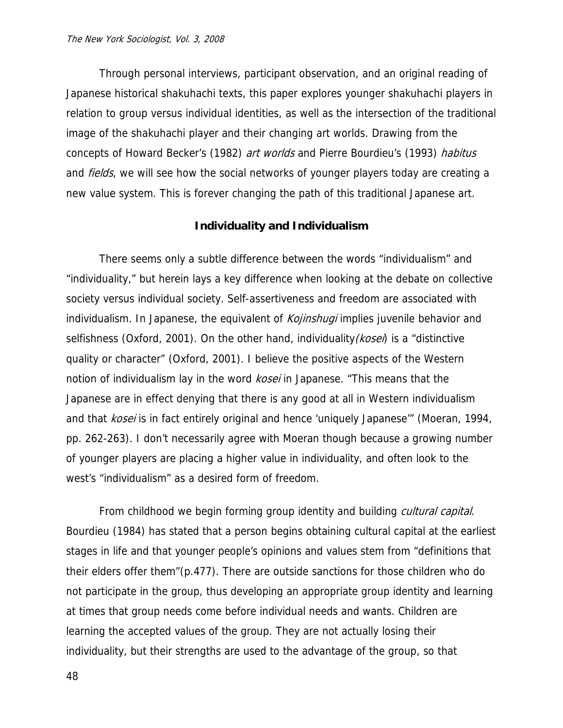Through personal interviews, participant observation, and an original reading of Japanese historical shakuhachi texts, this paper explores younger shakuhachi players in relation to group versus individual identities, as well as the intersection of the traditional image of the shakuhachi player and their changing art worlds. Drawing from the concepts of Howard Becker's (1982) art worlds and Pierre Bourdieu's (1993) habitus and *fields*, we will see how the social networks of younger players today are creating a new value system. This is forever changing the path of this traditional Japanese art.

### **Individuality and Individualism**

There seems only a subtle difference between the words "individualism" and "individuality," but herein lays a key difference when looking at the debate on collective society versus individual society. Self-assertiveness and freedom are associated with individualism. In Japanese, the equivalent of *Kojinshugi* implies juvenile behavior and selfishness (Oxford, 2001). On the other hand, individuality ( $kose$ ) is a "distinctive quality or character" (Oxford, 2001). I believe the positive aspects of the Western notion of individualism lay in the word kosei in Japanese. "This means that the Japanese are in effect denying that there is any good at all in Western individualism and that *kosei* is in fact entirely original and hence 'uniquely Japanese'" (Moeran, 1994, pp. 262-263). I don't necessarily agree with Moeran though because a growing number of younger players are placing a higher value in individuality, and often look to the west's "individualism" as a desired form of freedom.

From childhood we begin forming group identity and building *cultural capital*. Bourdieu (1984) has stated that a person begins obtaining cultural capital at the earliest stages in life and that younger people's opinions and values stem from "definitions that their elders offer them"(p.477). There are outside sanctions for those children who do not participate in the group, thus developing an appropriate group identity and learning at times that group needs come before individual needs and wants. Children are learning the accepted values of the group. They are not actually losing their individuality, but their strengths are used to the advantage of the group, so that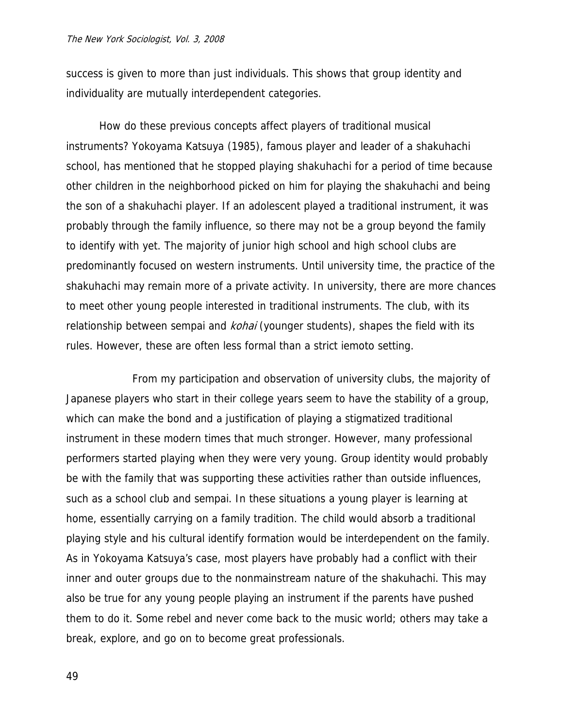success is given to more than just individuals. This shows that group identity and individuality are mutually interdependent categories.

How do these previous concepts affect players of traditional musical instruments? Yokoyama Katsuya (1985), famous player and leader of a shakuhachi school, has mentioned that he stopped playing shakuhachi for a period of time because other children in the neighborhood picked on him for playing the shakuhachi and being the son of a shakuhachi player. If an adolescent played a traditional instrument, it was probably through the family influence, so there may not be a group beyond the family to identify with yet. The majority of junior high school and high school clubs are predominantly focused on western instruments. Until university time, the practice of the shakuhachi may remain more of a private activity. In university, there are more chances to meet other young people interested in traditional instruments. The club, with its relationship between sempai and *kohai* (younger students), shapes the field with its rules. However, these are often less formal than a strict iemoto setting.

 From my participation and observation of university clubs, the majority of Japanese players who start in their college years seem to have the stability of a group, which can make the bond and a justification of playing a stigmatized traditional instrument in these modern times that much stronger. However, many professional performers started playing when they were very young. Group identity would probably be with the family that was supporting these activities rather than outside influences, such as a school club and sempai. In these situations a young player is learning at home, essentially carrying on a family tradition. The child would absorb a traditional playing style and his cultural identify formation would be interdependent on the family. As in Yokoyama Katsuya's case, most players have probably had a conflict with their inner and outer groups due to the nonmainstream nature of the shakuhachi. This may also be true for any young people playing an instrument if the parents have pushed them to do it. Some rebel and never come back to the music world; others may take a break, explore, and go on to become great professionals.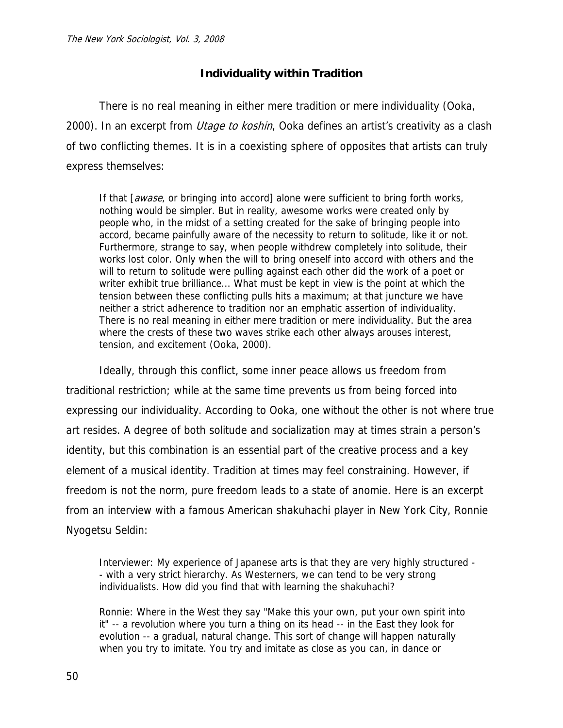# **Individuality within Tradition**

There is no real meaning in either mere tradition or mere individuality (Ooka, 2000). In an excerpt from *Utage to koshin*, Ooka defines an artist's creativity as a clash of two conflicting themes. It is in a coexisting sphere of opposites that artists can truly express themselves:

If that [*awase*, or bringing into accord] alone were sufficient to bring forth works, nothing would be simpler. But in reality, awesome works were created only by people who, in the midst of a setting created for the sake of bringing people into accord, became painfully aware of the necessity to return to solitude, like it or not. Furthermore, strange to say, when people withdrew completely into solitude, their works lost color. Only when the will to bring oneself into accord with others and the will to return to solitude were pulling against each other did the work of a poet or writer exhibit true brilliance... What must be kept in view is the point at which the tension between these conflicting pulls hits a maximum; at that juncture we have neither a strict adherence to tradition nor an emphatic assertion of individuality. There is no real meaning in either mere tradition or mere individuality. But the area where the crests of these two waves strike each other always arouses interest, tension, and excitement (Ooka, 2000).

Ideally, through this conflict, some inner peace allows us freedom from traditional restriction; while at the same time prevents us from being forced into expressing our individuality. According to Ooka, one without the other is not where true art resides. A degree of both solitude and socialization may at times strain a person's identity, but this combination is an essential part of the creative process and a key element of a musical identity. Tradition at times may feel constraining. However, if freedom is not the norm, pure freedom leads to a state of anomie. Here is an excerpt from an interview with a famous American shakuhachi player in New York City, Ronnie Nyogetsu Seldin:

Interviewer: My experience of Japanese arts is that they are very highly structured - - with a very strict hierarchy. As Westerners, we can tend to be very strong individualists. How did you find that with learning the shakuhachi?

Ronnie: Where in the West they say "Make this your own, put your own spirit into it" -- a revolution where you turn a thing on its head -- in the East they look for evolution -- a gradual, natural change. This sort of change will happen naturally when you try to imitate. You try and imitate as close as you can, in dance or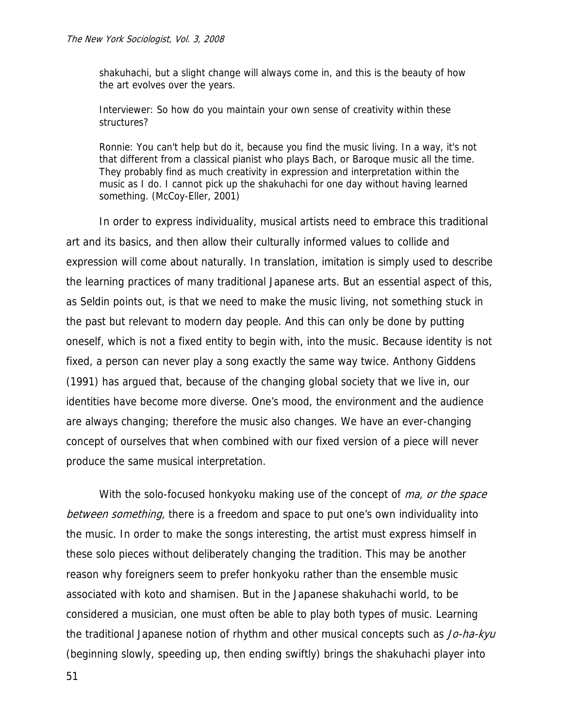shakuhachi, but a slight change will always come in, and this is the beauty of how the art evolves over the years.

Interviewer: So how do you maintain your own sense of creativity within these structures?

Ronnie: You can't help but do it, because you find the music living. In a way, it's not that different from a classical pianist who plays Bach, or Baroque music all the time. They probably find as much creativity in expression and interpretation within the music as I do. I cannot pick up the shakuhachi for one day without having learned something. (McCoy-Eller, 2001)

In order to express individuality, musical artists need to embrace this traditional art and its basics, and then allow their culturally informed values to collide and expression will come about naturally. In translation, imitation is simply used to describe the learning practices of many traditional Japanese arts. But an essential aspect of this, as Seldin points out, is that we need to make the music living, not something stuck in the past but relevant to modern day people. And this can only be done by putting oneself, which is not a fixed entity to begin with, into the music. Because identity is not fixed, a person can never play a song exactly the same way twice. Anthony Giddens (1991) has argued that, because of the changing global society that we live in, our identities have become more diverse. One's mood, the environment and the audience are always changing; therefore the music also changes. We have an ever-changing concept of ourselves that when combined with our fixed version of a piece will never produce the same musical interpretation.

With the solo-focused honkyoku making use of the concept of *ma, or the space* between something, there is a freedom and space to put one's own individuality into the music. In order to make the songs interesting, the artist must express himself in these solo pieces without deliberately changing the tradition. This may be another reason why foreigners seem to prefer honkyoku rather than the ensemble music associated with koto and shamisen. But in the Japanese shakuhachi world, to be considered a musician, one must often be able to play both types of music. Learning the traditional Japanese notion of rhythm and other musical concepts such as Jo-ha-kyu (beginning slowly, speeding up, then ending swiftly) brings the shakuhachi player into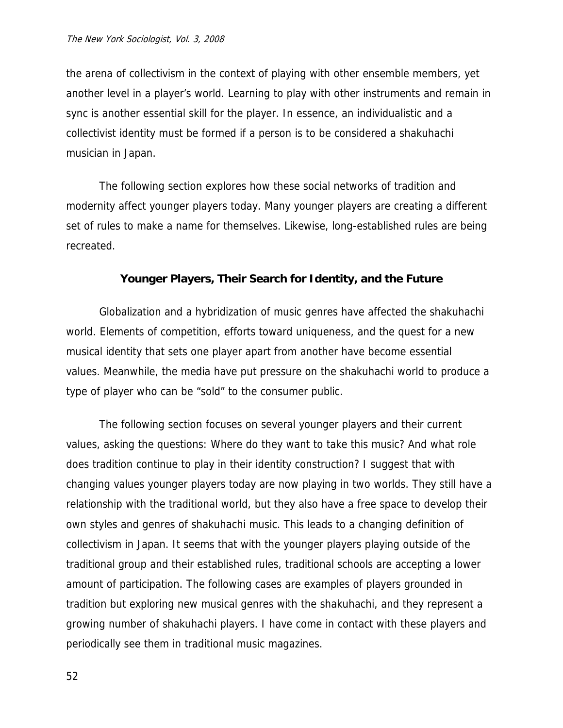the arena of collectivism in the context of playing with other ensemble members, yet another level in a player's world. Learning to play with other instruments and remain in sync is another essential skill for the player. In essence, an individualistic and a collectivist identity must be formed if a person is to be considered a shakuhachi musician in Japan.

The following section explores how these social networks of tradition and modernity affect younger players today. Many younger players are creating a different set of rules to make a name for themselves. Likewise, long-established rules are being recreated.

### **Younger Players, Their Search for Identity, and the Future**

Globalization and a hybridization of music genres have affected the shakuhachi world. Elements of competition, efforts toward uniqueness, and the quest for a new musical identity that sets one player apart from another have become essential values. Meanwhile, the media have put pressure on the shakuhachi world to produce a type of player who can be "sold" to the consumer public.

The following section focuses on several younger players and their current values, asking the questions: Where do they want to take this music? And what role does tradition continue to play in their identity construction? I suggest that with changing values younger players today are now playing in two worlds. They still have a relationship with the traditional world, but they also have a free space to develop their own styles and genres of shakuhachi music. This leads to a changing definition of collectivism in Japan. It seems that with the younger players playing outside of the traditional group and their established rules, traditional schools are accepting a lower amount of participation. The following cases are examples of players grounded in tradition but exploring new musical genres with the shakuhachi, and they represent a growing number of shakuhachi players. I have come in contact with these players and periodically see them in traditional music magazines.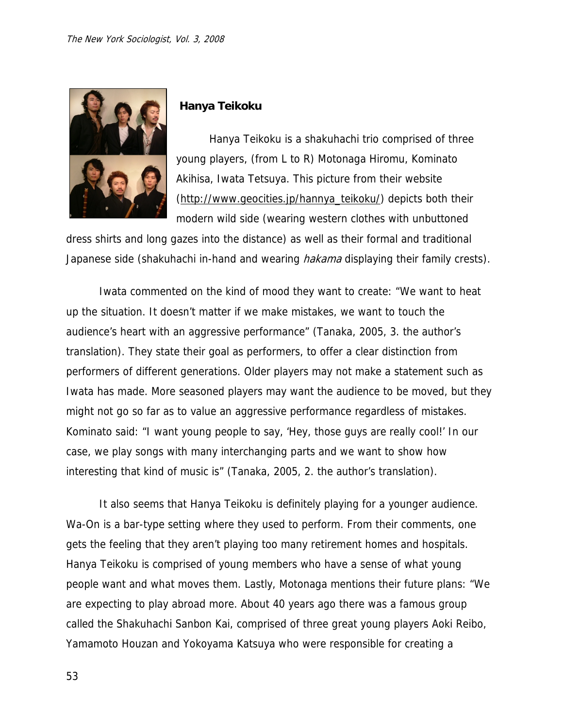

# **Hanya Teikoku**

Hanya Teikoku is a shakuhachi trio comprised of three young players, (from L to R) Motonaga Hiromu, Kominato Akihisa, Iwata Tetsuya. This picture from their website [\(http://www.geocities.jp/hannya\\_teikoku/\)](http://www.geocities.jp/hannya_teikoku/) depicts both their modern wild side (wearing western clothes with unbuttoned

dress shirts and long gazes into the distance) as well as their formal and traditional Japanese side (shakuhachi in-hand and wearing *hakama* displaying their family crests).

Iwata commented on the kind of mood they want to create: "We want to heat up the situation. It doesn't matter if we make mistakes, we want to touch the audience's heart with an aggressive performance" (Tanaka, 2005, 3. the author's translation). They state their goal as performers, to offer a clear distinction from performers of different generations. Older players may not make a statement such as Iwata has made. More seasoned players may want the audience to be moved, but they might not go so far as to value an aggressive performance regardless of mistakes. Kominato said: "I want young people to say, 'Hey, those guys are really cool!' In our case, we play songs with many interchanging parts and we want to show how interesting that kind of music is" (Tanaka, 2005, 2. the author's translation).

It also seems that Hanya Teikoku is definitely playing for a younger audience. Wa-On is a bar-type setting where they used to perform. From their comments, one gets the feeling that they aren't playing too many retirement homes and hospitals. Hanya Teikoku is comprised of young members who have a sense of what young people want and what moves them. Lastly, Motonaga mentions their future plans: "We are expecting to play abroad more. About 40 years ago there was a famous group called the Shakuhachi Sanbon Kai, comprised of three great young players Aoki Reibo, Yamamoto Houzan and Yokoyama Katsuya who were responsible for creating a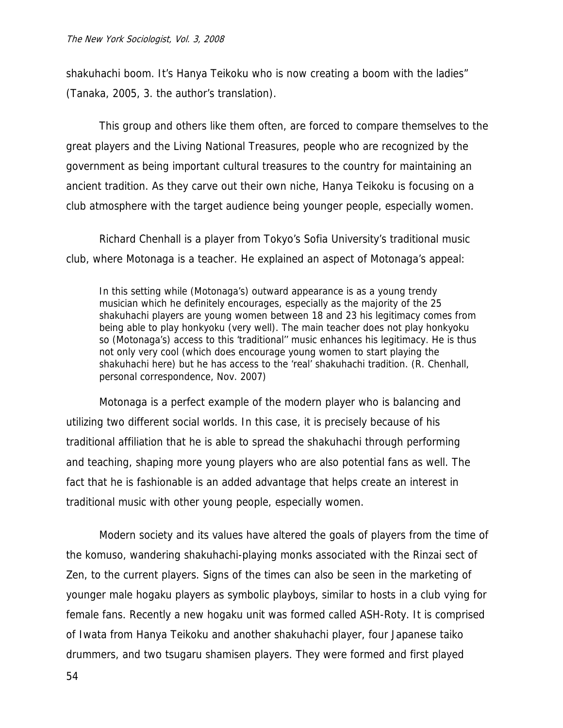shakuhachi boom. It's Hanya Teikoku who is now creating a boom with the ladies" (Tanaka, 2005, 3. the author's translation).

This group and others like them often, are forced to compare themselves to the great players and the Living National Treasures, people who are recognized by the government as being important cultural treasures to the country for maintaining an ancient tradition. As they carve out their own niche, Hanya Teikoku is focusing on a club atmosphere with the target audience being younger people, especially women.

Richard Chenhall is a player from Tokyo's Sofia University's traditional music club, where Motonaga is a teacher. He explained an aspect of Motonaga's appeal:

In this setting while (Motonaga's) outward appearance is as a young trendy musician which he definitely encourages, especially as the majority of the 25 shakuhachi players are young women between 18 and 23 his legitimacy comes from being able to play honkyoku (very well). The main teacher does not play honkyoku so (Motonaga's) access to this 'traditional'' music enhances his legitimacy. He is thus not only very cool (which does encourage young women to start playing the shakuhachi here) but he has access to the 'real' shakuhachi tradition. (R. Chenhall, personal correspondence, Nov. 2007)

Motonaga is a perfect example of the modern player who is balancing and utilizing two different social worlds. In this case, it is precisely because of his traditional affiliation that he is able to spread the shakuhachi through performing and teaching, shaping more young players who are also potential fans as well. The fact that he is fashionable is an added advantage that helps create an interest in traditional music with other young people, especially women.

Modern society and its values have altered the goals of players from the time of the komuso, wandering shakuhachi-playing monks associated with the Rinzai sect of Zen, to the current players. Signs of the times can also be seen in the marketing of younger male hogaku players as symbolic playboys, similar to hosts in a club vying for female fans. Recently a new hogaku unit was formed called ASH-Roty. It is comprised of Iwata from Hanya Teikoku and another shakuhachi player, four Japanese taiko drummers, and two tsugaru shamisen players. They were formed and first played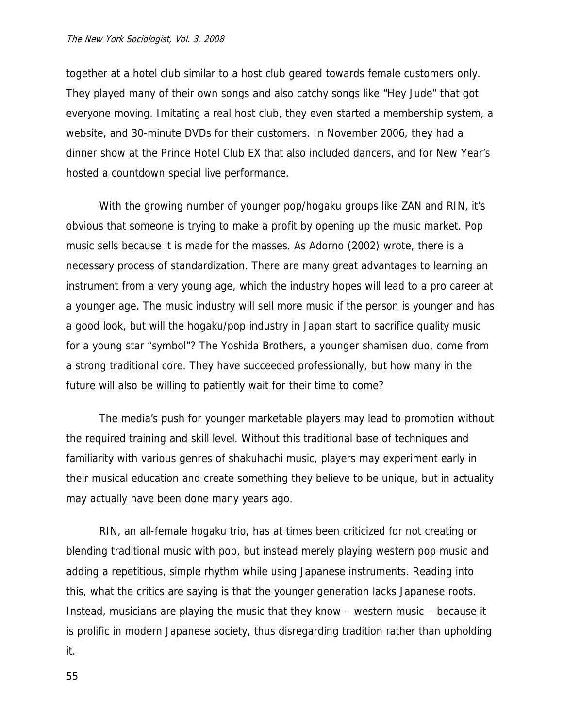together at a hotel club similar to a host club geared towards female customers only. They played many of their own songs and also catchy songs like "Hey Jude" that got everyone moving. Imitating a real host club, they even started a membership system, a website, and 30-minute DVDs for their customers. In November 2006, they had a dinner show at the Prince Hotel Club EX that also included dancers, and for New Year's hosted a countdown special live performance.

With the growing number of younger pop/hogaku groups like ZAN and RIN, it's obvious that someone is trying to make a profit by opening up the music market. Pop music sells because it is made for the masses. As Adorno (2002) wrote, there is a necessary process of standardization. There are many great advantages to learning an instrument from a very young age, which the industry hopes will lead to a pro career at a younger age. The music industry will sell more music if the person is younger and has a good look, but will the hogaku/pop industry in Japan start to sacrifice quality music for a young star "symbol"? The Yoshida Brothers, a younger shamisen duo, come from a strong traditional core. They have succeeded professionally, but how many in the future will also be willing to patiently wait for their time to come?

The media's push for younger marketable players may lead to promotion without the required training and skill level. Without this traditional base of techniques and familiarity with various genres of shakuhachi music, players may experiment early in their musical education and create something they believe to be unique, but in actuality may actually have been done many years ago.

RIN, an all-female hogaku trio, has at times been criticized for not creating or blending traditional music with pop, but instead merely playing western pop music and adding a repetitious, simple rhythm while using Japanese instruments. Reading into this, what the critics are saying is that the younger generation lacks Japanese roots. Instead, musicians are playing the music that they know – western music – because it is prolific in modern Japanese society, thus disregarding tradition rather than upholding it.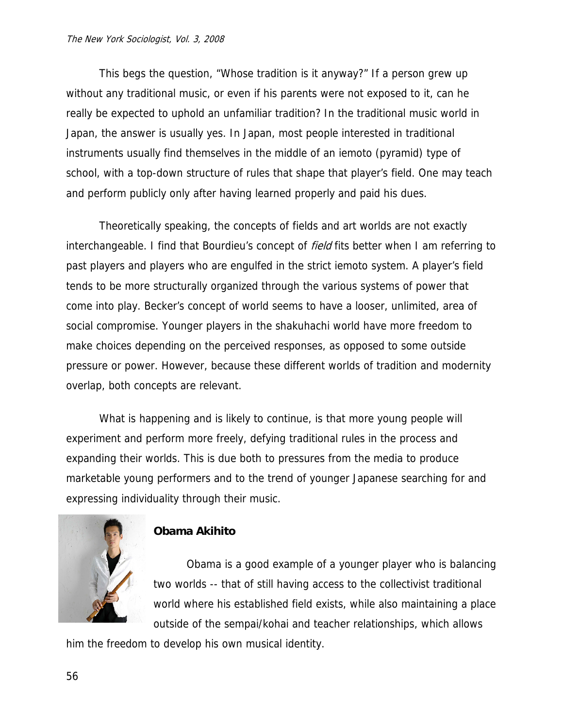This begs the question, "Whose tradition is it anyway?" If a person grew up without any traditional music, or even if his parents were not exposed to it, can he really be expected to uphold an unfamiliar tradition? In the traditional music world in Japan, the answer is usually yes. In Japan, most people interested in traditional instruments usually find themselves in the middle of an iemoto (pyramid) type of school, with a top-down structure of rules that shape that player's field. One may teach and perform publicly only after having learned properly and paid his dues.

Theoretically speaking, the concepts of fields and art worlds are not exactly interchangeable. I find that Bourdieu's concept of *field* fits better when I am referring to past players and players who are engulfed in the strict iemoto system. A player's field tends to be more structurally organized through the various systems of power that come into play. Becker's concept of world seems to have a looser, unlimited, area of social compromise. Younger players in the shakuhachi world have more freedom to make choices depending on the perceived responses, as opposed to some outside pressure or power. However, because these different worlds of tradition and modernity overlap, both concepts are relevant.

What is happening and is likely to continue, is that more young people will experiment and perform more freely, defying traditional rules in the process and expanding their worlds. This is due both to pressures from the media to produce marketable young performers and to the trend of younger Japanese searching for and expressing individuality through their music.



# **Obama Akihito**

Obama is a good example of a younger player who is balancing two worlds -- that of still having access to the collectivist traditional world where his established field exists, while also maintaining a place outside of the sempai/kohai and teacher relationships, which allows

him the freedom to develop his own musical identity.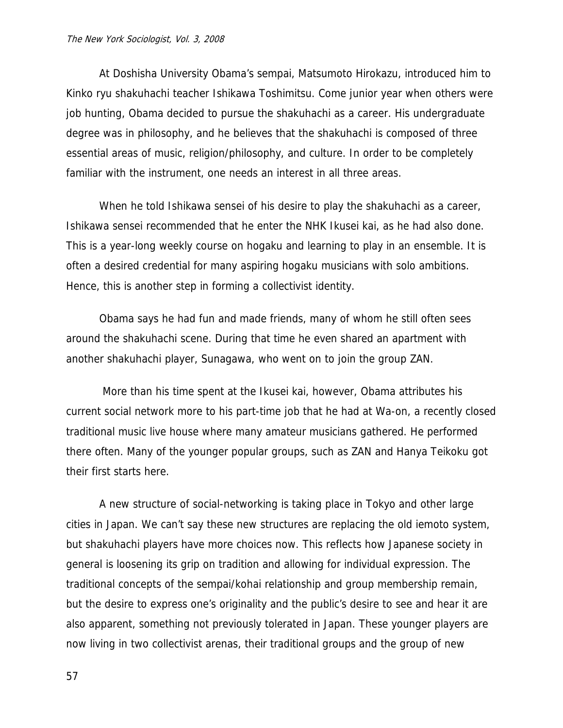At Doshisha University Obama's sempai, Matsumoto Hirokazu, introduced him to Kinko ryu shakuhachi teacher Ishikawa Toshimitsu. Come junior year when others were job hunting, Obama decided to pursue the shakuhachi as a career. His undergraduate degree was in philosophy, and he believes that the shakuhachi is composed of three essential areas of music, religion/philosophy, and culture. In order to be completely familiar with the instrument, one needs an interest in all three areas.

When he told Ishikawa sensei of his desire to play the shakuhachi as a career, Ishikawa sensei recommended that he enter the NHK Ikusei kai, as he had also done. This is a year-long weekly course on hogaku and learning to play in an ensemble. It is often a desired credential for many aspiring hogaku musicians with solo ambitions. Hence, this is another step in forming a collectivist identity.

Obama says he had fun and made friends, many of whom he still often sees around the shakuhachi scene. During that time he even shared an apartment with another shakuhachi player, Sunagawa, who went on to join the group ZAN.

 More than his time spent at the Ikusei kai, however, Obama attributes his current social network more to his part-time job that he had at Wa-on, a recently closed traditional music live house where many amateur musicians gathered. He performed there often. Many of the younger popular groups, such as ZAN and Hanya Teikoku got their first starts here.

A new structure of social-networking is taking place in Tokyo and other large cities in Japan. We can't say these new structures are replacing the old iemoto system, but shakuhachi players have more choices now. This reflects how Japanese society in general is loosening its grip on tradition and allowing for individual expression. The traditional concepts of the sempai/kohai relationship and group membership remain, but the desire to express one's originality and the public's desire to see and hear it are also apparent, something not previously tolerated in Japan. These younger players are now living in two collectivist arenas, their traditional groups and the group of new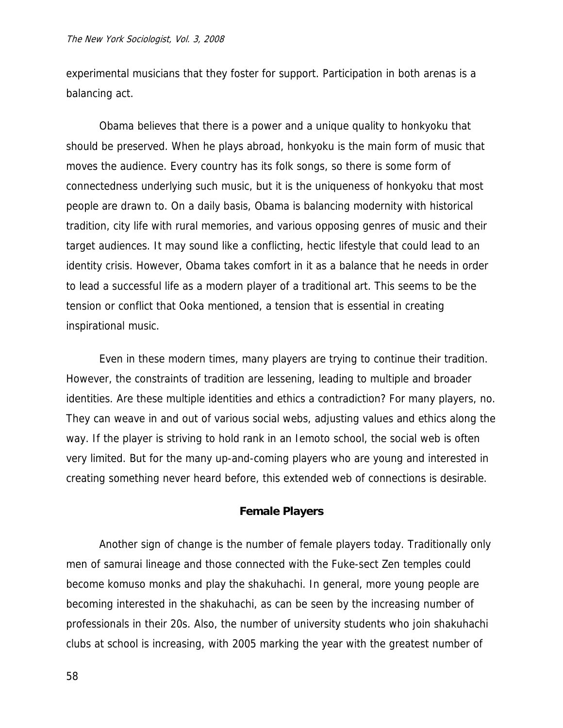experimental musicians that they foster for support. Participation in both arenas is a balancing act.

Obama believes that there is a power and a unique quality to honkyoku that should be preserved. When he plays abroad, honkyoku is the main form of music that moves the audience. Every country has its folk songs, so there is some form of connectedness underlying such music, but it is the uniqueness of honkyoku that most people are drawn to. On a daily basis, Obama is balancing modernity with historical tradition, city life with rural memories, and various opposing genres of music and their target audiences. It may sound like a conflicting, hectic lifestyle that could lead to an identity crisis. However, Obama takes comfort in it as a balance that he needs in order to lead a successful life as a modern player of a traditional art. This seems to be the tension or conflict that Ooka mentioned, a tension that is essential in creating inspirational music.

Even in these modern times, many players are trying to continue their tradition. However, the constraints of tradition are lessening, leading to multiple and broader identities. Are these multiple identities and ethics a contradiction? For many players, no. They can weave in and out of various social webs, adjusting values and ethics along the way. If the player is striving to hold rank in an Iemoto school, the social web is often very limited. But for the many up-and-coming players who are young and interested in creating something never heard before, this extended web of connections is desirable.

### **Female Players**

Another sign of change is the number of female players today. Traditionally only men of samurai lineage and those connected with the Fuke-sect Zen temples could become komuso monks and play the shakuhachi. In general, more young people are becoming interested in the shakuhachi, as can be seen by the increasing number of professionals in their 20s. Also, the number of university students who join shakuhachi clubs at school is increasing, with 2005 marking the year with the greatest number of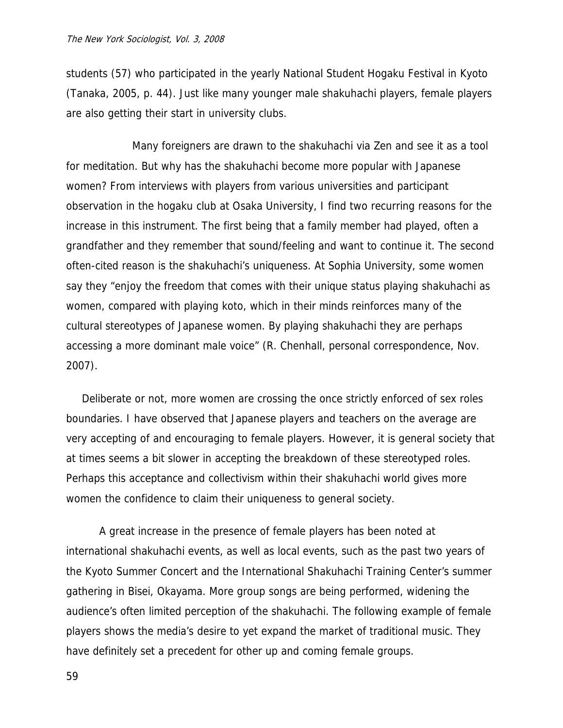students (57) who participated in the yearly National Student Hogaku Festival in Kyoto (Tanaka, 2005, p. 44). Just like many younger male shakuhachi players, female players are also getting their start in university clubs.

 Many foreigners are drawn to the shakuhachi via Zen and see it as a tool for meditation. But why has the shakuhachi become more popular with Japanese women? From interviews with players from various universities and participant observation in the hogaku club at Osaka University, I find two recurring reasons for the increase in this instrument. The first being that a family member had played, often a grandfather and they remember that sound/feeling and want to continue it. The second often-cited reason is the shakuhachi's uniqueness. At Sophia University, some women say they "enjoy the freedom that comes with their unique status playing shakuhachi as women, compared with playing koto, which in their minds reinforces many of the cultural stereotypes of Japanese women. By playing shakuhachi they are perhaps accessing a more dominant male voice" (R. Chenhall, personal correspondence, Nov. 2007).

Deliberate or not, more women are crossing the once strictly enforced of sex roles boundaries. I have observed that Japanese players and teachers on the average are very accepting of and encouraging to female players. However, it is general society that at times seems a bit slower in accepting the breakdown of these stereotyped roles. Perhaps this acceptance and collectivism within their shakuhachi world gives more women the confidence to claim their uniqueness to general society.

A great increase in the presence of female players has been noted at international shakuhachi events, as well as local events, such as the past two years of the Kyoto Summer Concert and the International Shakuhachi Training Center's summer gathering in Bisei, Okayama. More group songs are being performed, widening the audience's often limited perception of the shakuhachi. The following example of female players shows the media's desire to yet expand the market of traditional music. They have definitely set a precedent for other up and coming female groups.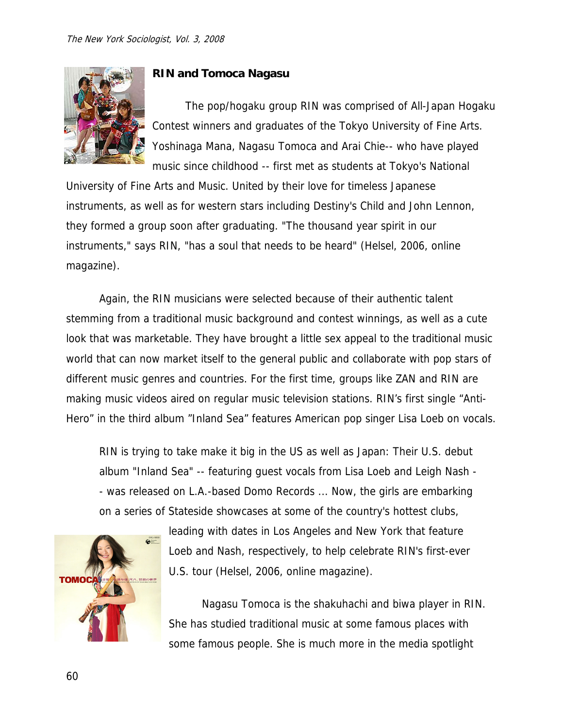

# **RIN and Tomoca Nagasu**

The pop/hogaku group RIN was comprised of All-Japan Hogaku Contest winners and graduates of the Tokyo University of Fine Arts. Yoshinaga Mana, Nagasu Tomoca and Arai Chie-- who have played music since childhood -- first met as students at Tokyo's National

University of Fine Arts and Music. United by their love for timeless Japanese instruments, as well as for western stars including Destiny's Child and John Lennon, they formed a group soon after graduating. "The thousand year spirit in our instruments," says RIN, "has a soul that needs to be heard" (Helsel, 2006, online magazine).

Again, the RIN musicians were selected because of their authentic talent stemming from a traditional music background and contest winnings, as well as a cute look that was marketable. They have brought a little sex appeal to the traditional music world that can now market itself to the general public and collaborate with pop stars of different music genres and countries. For the first time, groups like ZAN and RIN are making music videos aired on regular music television stations. RIN's first single "Anti-Hero" in the third album "Inland Sea" features American pop singer Lisa Loeb on vocals.

RIN is trying to take make it big in the US as well as Japan: Their U.S. debut album "Inland Sea" -- featuring guest vocals from Lisa Loeb and Leigh Nash - - was released on L.A.-based Domo Records ... Now, the girls are embarking on a series of Stateside showcases at some of the country's hottest clubs,



leading with dates in Los Angeles and New York that feature Loeb and Nash, respectively, to help celebrate RIN's first-ever U.S. tour (Helsel, 2006, online magazine).

Nagasu Tomoca is the shakuhachi and biwa player in RIN. She has studied traditional music at some famous places with some famous people. She is much more in the media spotlight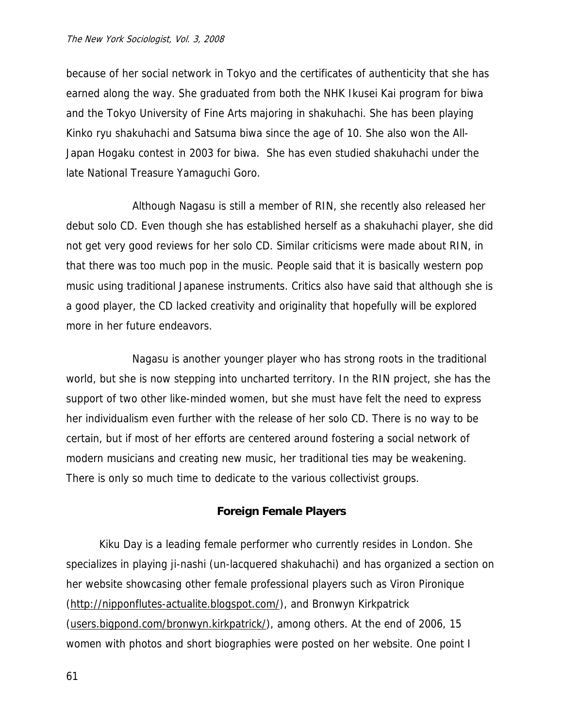because of her social network in Tokyo and the certificates of authenticity that she has earned along the way. She graduated from both the NHK Ikusei Kai program for biwa and the Tokyo University of Fine Arts majoring in shakuhachi. She has been playing Kinko ryu shakuhachi and Satsuma biwa since the age of 10. She also won the All-Japan Hogaku contest in 2003 for biwa. She has even studied shakuhachi under the late National Treasure Yamaguchi Goro.

 Although Nagasu is still a member of RIN, she recently also released her debut solo CD. Even though she has established herself as a shakuhachi player, she did not get very good reviews for her solo CD. Similar criticisms were made about RIN, in that there was too much pop in the music. People said that it is basically western pop music using traditional Japanese instruments. Critics also have said that although she is a good player, the CD lacked creativity and originality that hopefully will be explored more in her future endeavors.

 Nagasu is another younger player who has strong roots in the traditional world, but she is now stepping into uncharted territory. In the RIN project, she has the support of two other like-minded women, but she must have felt the need to express her individualism even further with the release of her solo CD. There is no way to be certain, but if most of her efforts are centered around fostering a social network of modern musicians and creating new music, her traditional ties may be weakening. There is only so much time to dedicate to the various collectivist groups.

## **Foreign Female Players**

Kiku Day is a leading female performer who currently resides in London. She specializes in playing ji-nashi (un-lacquered shakuhachi) and has organized a section on her website showcasing other female professional players such as Viron Pironique (<http://nipponflutes-actualite.blogspot.com/>), and Bronwyn Kirkpatrick ([users.bigpond.com/bronwyn.kirkpatrick/\)](http://www.users.bigpond.com/bronwyn.kirkpatrick/), among others. At the end of 2006, 15 women with photos and short biographies were posted on her website. One point I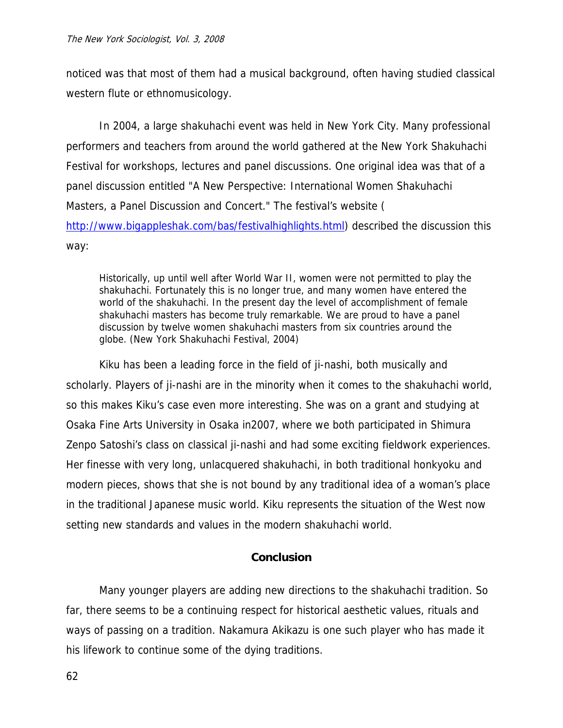noticed was that most of them had a musical background, often having studied classical western flute or ethnomusicology.

In 2004, a large shakuhachi event was held in New York City. Many professional performers and teachers from around the world gathered at the New York Shakuhachi Festival for workshops, lectures and panel discussions. One original idea was that of a panel discussion entitled "A New Perspective: International Women Shakuhachi Masters, a Panel Discussion and Concert." The festival's website ( [http://www.bigappleshak.com/bas/festivalhighlights.html\)](http://www.bigappleshak.com/bas/festivalhighlights.html) described the discussion this way:

Historically, up until well after World War II, women were not permitted to play the shakuhachi. Fortunately this is no longer true, and many women have entered the world of the shakuhachi. In the present day the level of accomplishment of female shakuhachi masters has become truly remarkable. We are proud to have a panel discussion by twelve women shakuhachi masters from six countries around the globe. (New York Shakuhachi Festival, 2004)

Kiku has been a leading force in the field of ji-nashi, both musically and scholarly. Players of ji-nashi are in the minority when it comes to the shakuhachi world, so this makes Kiku's case even more interesting. She was on a grant and studying at Osaka Fine Arts University in Osaka in2007, where we both participated in Shimura Zenpo Satoshi's class on classical ji-nashi and had some exciting fieldwork experiences. Her finesse with very long, unlacquered shakuhachi, in both traditional honkyoku and modern pieces, shows that she is not bound by any traditional idea of a woman's place in the traditional Japanese music world. Kiku represents the situation of the West now setting new standards and values in the modern shakuhachi world.

# **Conclusion**

Many younger players are adding new directions to the shakuhachi tradition. So far, there seems to be a continuing respect for historical aesthetic values, rituals and ways of passing on a tradition. Nakamura Akikazu is one such player who has made it his lifework to continue some of the dying traditions.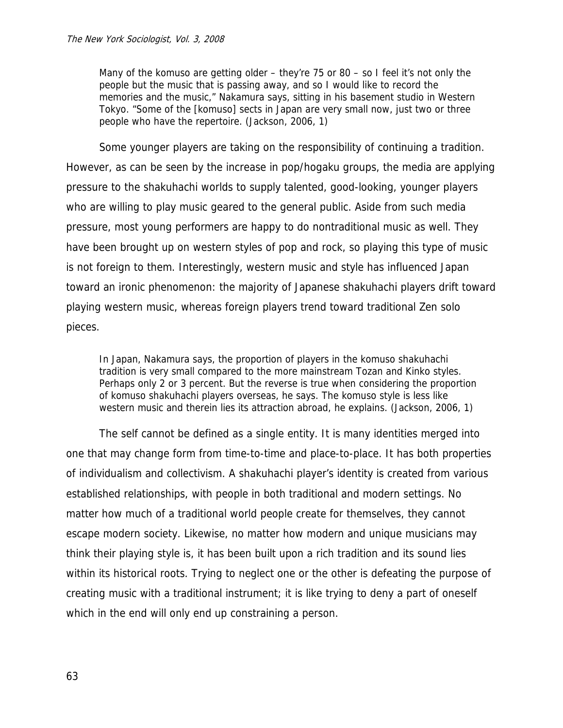Many of the komuso are getting older – they're 75 or 80 – so I feel it's not only the people but the music that is passing away, and so I would like to record the memories and the music," Nakamura says, sitting in his basement studio in Western Tokyo. "Some of the [komuso] sects in Japan are very small now, just two or three people who have the repertoire. (Jackson, 2006, 1)

Some younger players are taking on the responsibility of continuing a tradition. However, as can be seen by the increase in pop/hogaku groups, the media are applying pressure to the shakuhachi worlds to supply talented, good-looking, younger players who are willing to play music geared to the general public. Aside from such media pressure, most young performers are happy to do nontraditional music as well. They have been brought up on western styles of pop and rock, so playing this type of music is not foreign to them. Interestingly, western music and style has influenced Japan toward an ironic phenomenon: the majority of Japanese shakuhachi players drift toward playing western music, whereas foreign players trend toward traditional Zen solo pieces.

In Japan, Nakamura says, the proportion of players in the komuso shakuhachi tradition is very small compared to the more mainstream Tozan and Kinko styles. Perhaps only 2 or 3 percent. But the reverse is true when considering the proportion of komuso shakuhachi players overseas, he says. The komuso style is less like western music and therein lies its attraction abroad, he explains. (Jackson, 2006, 1)

The self cannot be defined as a single entity. It is many identities merged into one that may change form from time-to-time and place-to-place. It has both properties of individualism and collectivism. A shakuhachi player's identity is created from various established relationships, with people in both traditional and modern settings. No matter how much of a traditional world people create for themselves, they cannot escape modern society. Likewise, no matter how modern and unique musicians may think their playing style is, it has been built upon a rich tradition and its sound lies within its historical roots. Trying to neglect one or the other is defeating the purpose of creating music with a traditional instrument; it is like trying to deny a part of oneself which in the end will only end up constraining a person.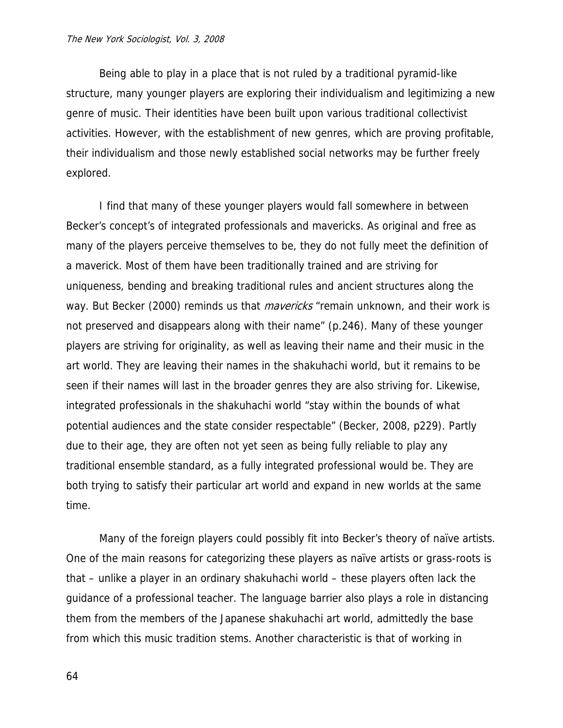Being able to play in a place that is not ruled by a traditional pyramid-like structure, many younger players are exploring their individualism and legitimizing a new genre of music. Their identities have been built upon various traditional collectivist activities. However, with the establishment of new genres, which are proving profitable, their individualism and those newly established social networks may be further freely explored.

I find that many of these younger players would fall somewhere in between Becker's concept's of integrated professionals and mavericks. As original and free as many of the players perceive themselves to be, they do not fully meet the definition of a maverick. Most of them have been traditionally trained and are striving for uniqueness, bending and breaking traditional rules and ancient structures along the way. But Becker (2000) reminds us that *mavericks* "remain unknown, and their work is not preserved and disappears along with their name" (p.246). Many of these younger players are striving for originality, as well as leaving their name and their music in the art world. They are leaving their names in the shakuhachi world, but it remains to be seen if their names will last in the broader genres they are also striving for. Likewise, integrated professionals in the shakuhachi world "stay within the bounds of what potential audiences and the state consider respectable" (Becker, 2008, p229). Partly due to their age, they are often not yet seen as being fully reliable to play any traditional ensemble standard, as a fully integrated professional would be. They are both trying to satisfy their particular art world and expand in new worlds at the same time.

Many of the foreign players could possibly fit into Becker's theory of naïve artists. One of the main reasons for categorizing these players as naïve artists or grass-roots is that – unlike a player in an ordinary shakuhachi world – these players often lack the guidance of a professional teacher. The language barrier also plays a role in distancing them from the members of the Japanese shakuhachi art world, admittedly the base from which this music tradition stems. Another characteristic is that of working in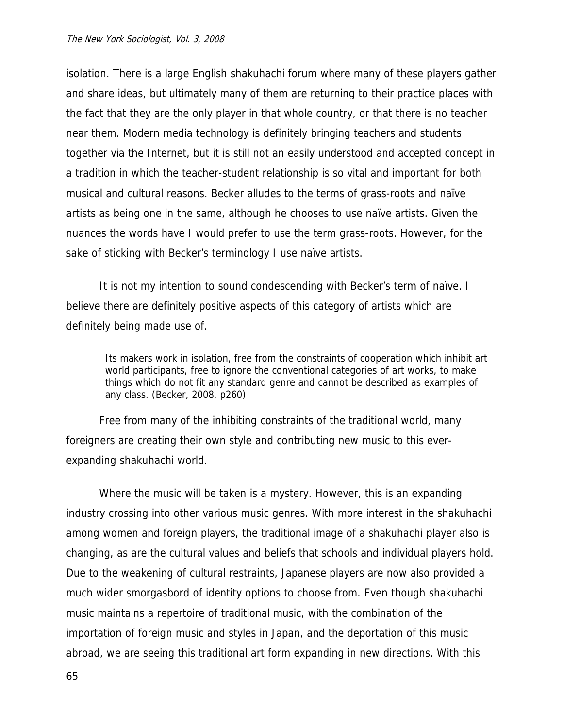isolation. There is a large English shakuhachi forum where many of these players gather and share ideas, but ultimately many of them are returning to their practice places with the fact that they are the only player in that whole country, or that there is no teacher near them. Modern media technology is definitely bringing teachers and students together via the Internet, but it is still not an easily understood and accepted concept in a tradition in which the teacher-student relationship is so vital and important for both musical and cultural reasons. Becker alludes to the terms of grass-roots and naïve artists as being one in the same, although he chooses to use naïve artists. Given the nuances the words have I would prefer to use the term grass-roots. However, for the sake of sticking with Becker's terminology I use naïve artists.

It is not my intention to sound condescending with Becker's term of naïve. I believe there are definitely positive aspects of this category of artists which are definitely being made use of.

Its makers work in isolation, free from the constraints of cooperation which inhibit art world participants, free to ignore the conventional categories of art works, to make things which do not fit any standard genre and cannot be described as examples of any class. (Becker, 2008, p260)

Free from many of the inhibiting constraints of the traditional world, many foreigners are creating their own style and contributing new music to this everexpanding shakuhachi world.

Where the music will be taken is a mystery. However, this is an expanding industry crossing into other various music genres. With more interest in the shakuhachi among women and foreign players, the traditional image of a shakuhachi player also is changing, as are the cultural values and beliefs that schools and individual players hold. Due to the weakening of cultural restraints, Japanese players are now also provided a much wider smorgasbord of identity options to choose from. Even though shakuhachi music maintains a repertoire of traditional music, with the combination of the importation of foreign music and styles in Japan, and the deportation of this music abroad, we are seeing this traditional art form expanding in new directions. With this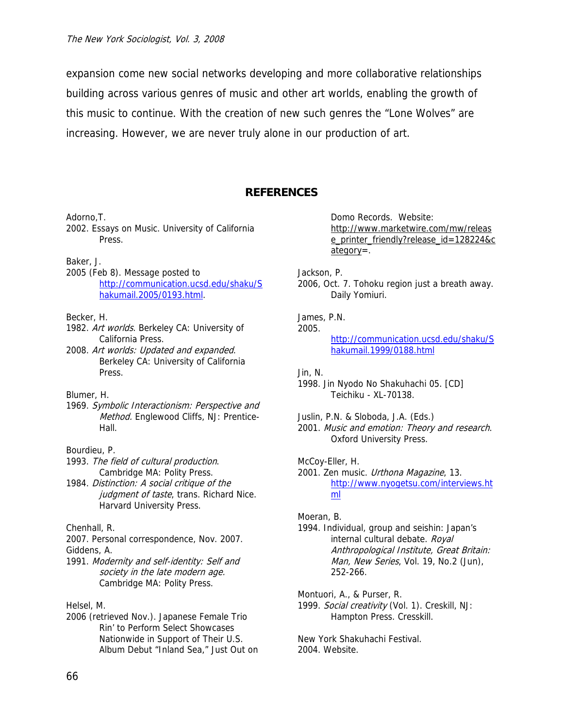expansion come new social networks developing and more collaborative relationships building across various genres of music and other art worlds, enabling the growth of this music to continue. With the creation of new such genres the "Lone Wolves" are increasing. However, we are never truly alone in our production of art.

## **REFERENCES**

Adorno,T.

2002. Essays on Music. University of California Press.

Baker, J.

2005 (Feb 8). Message posted to [http://communication.ucsd.edu/shaku/S](http://communication.ucsd.edu/shaku/Shakumail.2005/0193.html) [hakumail.2005/0193.html.](http://communication.ucsd.edu/shaku/Shakumail.2005/0193.html)

### Becker, H.

- 1982. Art worlds. Berkeley CA: University of California Press.
- 2008. Art worlds: Updated and expanded. Berkeley CA: University of California Press.

### Blumer, H.

- 1969. Symbolic Interactionism: Perspective and Method. Englewood Cliffs, NJ: Prentice-Hall.
- Bourdieu, P.
- 1993. The field of cultural production. Cambridge MA: Polity Press.
- 1984. Distinction: A social critique of the judgment of taste, trans. Richard Nice. [Harvard University Press.](http://www.hup.harvard.edu/catalog/BOUDIX.html)

### Chenhall, R.

2007. Personal correspondence, Nov. 2007. Giddens, A.

1991. Modernity and self-identity: Self and society in the late modern age. Cambridge MA: Polity Press.

Helsel, M.

2006 (retrieved Nov.). Japanese Female Trio Rin' to Perform Select Showcases Nationwide in Support of Their U.S. Album Debut "Inland Sea," Just Out on Domo Records. Website: [http://www.marketwire.com/mw/releas](http://www.marketwire.com/mw/release_printer_friendly?release_id=128224&category) [e\\_printer\\_friendly?release\\_id=128224&c](http://www.marketwire.com/mw/release_printer_friendly?release_id=128224&category) [ategory](http://www.marketwire.com/mw/release_printer_friendly?release_id=128224&category)=.

### Jackson, P.

2006, Oct. 7. Tohoku region just a breath away. Daily Yomiuri.

#### James, P.N. 2005.

[http://communication.ucsd.edu/shaku/S](http://communication.ucsd.edu/shaku/Shakumail.1999/0188.html) [hakumail.1999/0188.html](http://communication.ucsd.edu/shaku/Shakumail.1999/0188.html)

#### Jin, N.

- 1998. Jin Nyodo No Shakuhachi 05. [CD] Teichiku - XL-70138.
- Juslin, P.N. & Sloboda, J.A. (Eds.)
- 2001. Music and emotion: Theory and research. Oxford University Press.

McCoy-Eller, H.

2001. Zen music. Urthona Magazine, 13. [http://www.nyogetsu.com/interviews.ht](http://www.nyogetsu.com/interviews.html) [ml](http://www.nyogetsu.com/interviews.html)

### Moeran, B.

1994. Individual, group and seishin: Japan's internal cultural debate. Royal Anthropological Institute, Great Britain: Man, New Series, Vol. 19, No.2 (Jun), 252-266.

#### Montuori, A., & Purser, R.

1999. Social creativity (Vol. 1). Creskill, NJ: Hampton Press. Cresskill.

New York Shakuhachi Festival. 2004. Website.